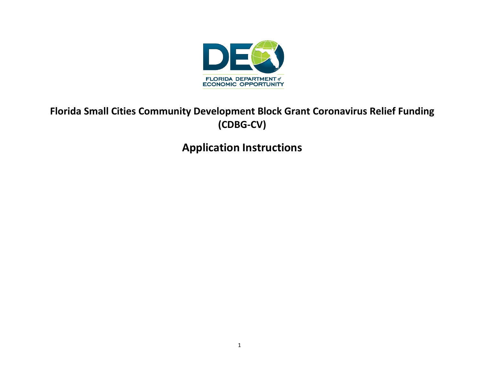

# **Florida Small Cities Community Development Block Grant Coronavirus Relief Funding (CDBG-CV)**

# **Application Instructions**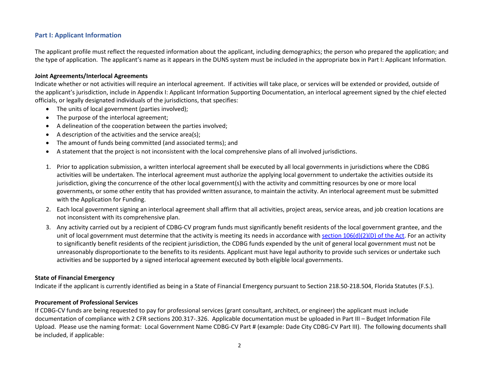# **Part I: Applicant Information**

The applicant profile must reflect the requested information about the applicant, including demographics; the person who prepared the application; and the type of application. The applicant's name as it appears in the DUNS system must be included in the appropriate box in Part I: Applicant Information.

#### **Joint Agreements/Interlocal Agreements**

Indicate whether or not activities will require an interlocal agreement. If activities will take place, or services will be extended or provided, outside of the applicant's jurisdiction, include in Appendix I: Applicant Information Supporting Documentation, an interlocal agreement signed by the chief elected officials, or legally designated individuals of the jurisdictions, that specifies:

- The units of local government (parties involved);
- The purpose of the interlocal agreement;
- A delineation of the cooperation between the parties involved;
- A description of the activities and the service area(s);
- The amount of funds being committed (and associated terms); and
- A statement that the project is not inconsistent with the local comprehensive plans of all involved jurisdictions.
- 1. Prior to application submission, a written interlocal agreement shall be executed by all local governments in jurisdictions where the CDBG activities will be undertaken. The interlocal agreement must authorize the applying local government to undertake the activities outside its jurisdiction, giving the concurrence of the other local government(s) with the activity and committing resources by one or more local governments, or some other entity that has provided written assurance, to maintain the activity. An interlocal agreement must be submitted with the Application for Funding.
- 2. Each local government signing an interlocal agreement shall affirm that all activities, project areas, service areas, and job creation locations are not inconsistent with its comprehensive plan.
- 3. Any activity carried out by a recipient of CDBG-CV program funds must significantly benefit residents of the local government grantee, and the unit of local government must determine that the activity is meeting its needs in accordance with [section 106\(d\)\(2\)\(D\) of the Act.](https://files.hudexchange.info/resources/documents/Housing-and-Community-Development-Act-1974.pdf#page=41) For an activity to significantly benefit residents of the recipient jurisdiction, the CDBG funds expended by the unit of general local government must not be unreasonably disproportionate to the benefits to its residents. Applicant must have legal authority to provide such services or undertake such activities and be supported by a signed interlocal agreement executed by both eligible local governments.

#### **State of Financial Emergency**

Indicate if the applicant is currently identified as being in a State of Financial Emergency pursuant to Section 218.50-218.504, Florida Statutes (F.S.).

#### **Procurement of Professional Services**

If CDBG-CV funds are being requested to pay for professional services (grant consultant, architect, or engineer) the applicant must include documentation of compliance with 2 CFR sections 200.317-.326. Applicable documentation must be uploaded in Part III – Budget Information File Upload. Please use the naming format: Local Government Name CDBG-CV Part # (example: Dade City CDBG-CV Part III). The following documents shall be included, if applicable: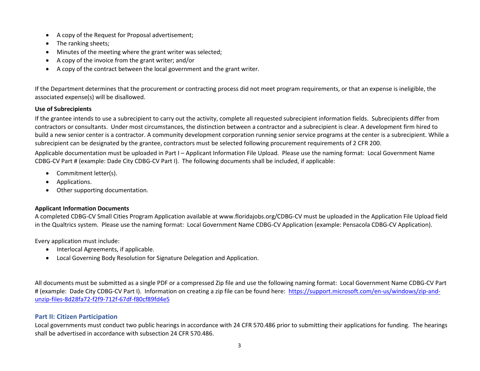- A copy of the Request for Proposal advertisement;
- The ranking sheets;
- Minutes of the meeting where the grant writer was selected;
- A copy of the invoice from the grant writer; and/or
- A copy of the contract between the local government and the grant writer.

If the Department determines that the procurement or contracting process did not meet program requirements, or that an expense is ineligible, the associated expense(s) will be disallowed.

# **Use of Subrecipients**

If the grantee intends to use a subrecipient to carry out the activity, complete all requested subrecipient information fields. Subrecipients differ from contractors or consultants. Under most circumstances, the distinction between a contractor and a subrecipient is clear. A development firm hired to build a new senior center is a contractor. A community development corporation running senior service programs at the center is a subrecipient. While a subrecipient can be designated by the grantee, contractors must be selected following procurement requirements of 2 CFR 200.

Applicable documentation must be uploaded in Part I – Applicant Information File Upload. Please use the naming format: Local Government Name CDBG-CV Part # (example: Dade City CDBG-CV Part I). The following documents shall be included, if applicable:

- Commitment letter(s).
- Applications.
- Other supporting documentation.

# **Applicant Information Documents**

A completed CDBG-CV Small Cities Program Application available at www.floridajobs.org/CDBG-CV must be uploaded in the Application File Upload field in the Qualtrics system. Please use the naming format: Local Government Name CDBG-CV Application (example: Pensacola CDBG-CV Application).

Every application must include:

- Interlocal Agreements, if applicable.
- Local Governing Body Resolution for Signature Delegation and Application.

All documents must be submitted as a single PDF or a compressed Zip file and use the following naming format: Local Government Name CDBG-CV Part # (example: Dade City CDBG-CV Part I). Information on creating a zip file can be found here: [https://support.microsoft.com/en-us/windows/zip-and](https://support.microsoft.com/en-us/windows/zip-and-unzip-files-8d28fa72-f2f9-712f-67df-f80cf89fd4e5)[unzip-files-8d28fa72-f2f9-712f-67df-f80cf89fd4e5](https://support.microsoft.com/en-us/windows/zip-and-unzip-files-8d28fa72-f2f9-712f-67df-f80cf89fd4e5)

# **Part II: Citizen Participation**

Local governments must conduct two public hearings in accordance with 24 CFR 570.486 prior to submitting their applications for funding. The hearings shall be advertised in accordance with subsection 24 CFR 570.486.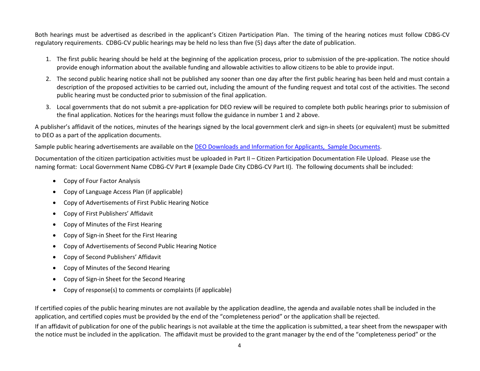Both hearings must be advertised as described in the applicant's Citizen Participation Plan. The timing of the hearing notices must follow CDBG-CV regulatory requirements. CDBG-CV public hearings may be held no less than five (5) days after the date of publication.

- 1. The first public hearing should be held at the beginning of the application process, prior to submission of the pre-application. The notice should provide enough information about the available funding and allowable activities to allow citizens to be able to provide input.
- 2. The second public hearing notice shall not be published any sooner than one day after the first public hearing has been held and must contain a description of the proposed activities to be carried out, including the amount of the funding request and total cost of the activities. The second public hearing must be conducted prior to submission of the final application.
- 3. Local governments that do not submit a pre-application for DEO review will be required to complete both public hearings prior to submission of the final application. Notices for the hearings must follow the guidance in number 1 and 2 above.

A publisher's affidavit of the notices, minutes of the hearings signed by the local government clerk and sign-in sheets (or equivalent) must be submitted to DEO as a part of the application documents.

Sample public hearing advertisements are available on the [DEO Downloads and Information for Applicants, Sample Documents.](http://www.floridajobs.org/community-planning-and-development/assistance-for-governments-and-organizations/florida-small-cities-community-development-block-grant-program/downloads-and-information-for-applicants)

Documentation of the citizen participation activities must be uploaded in Part II – Citizen Participation Documentation File Upload. Please use the naming format: Local Government Name CDBG-CV Part # (example Dade City CDBG-CV Part II). The following documents shall be included:

- Copy of Four Factor Analysis
- Copy of Language Access Plan (if applicable)
- Copy of Advertisements of First Public Hearing Notice
- Copy of First Publishers' Affidavit
- Copy of Minutes of the First Hearing
- Copy of Sign-in Sheet for the First Hearing
- Copy of Advertisements of Second Public Hearing Notice
- Copy of Second Publishers' Affidavit
- Copy of Minutes of the Second Hearing
- Copy of Sign-in Sheet for the Second Hearing
- Copy of response(s) to comments or complaints (if applicable)

If certified copies of the public hearing minutes are not available by the application deadline, the agenda and available notes shall be included in the application, and certified copies must be provided by the end of the "completeness period" or the application shall be rejected.

If an affidavit of publication for one of the public hearings is not available at the time the application is submitted, a tear sheet from the newspaper with the notice must be included in the application. The affidavit must be provided to the grant manager by the end of the "completeness period" or the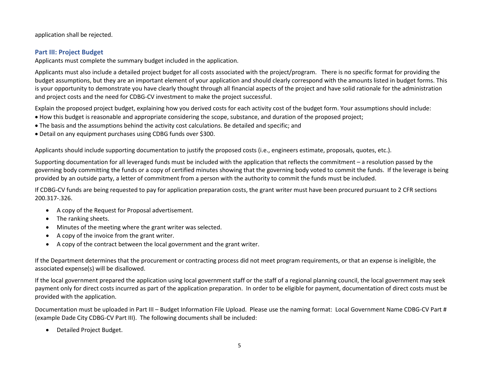application shall be rejected.

# **Part III: Project Budget**

Applicants must complete the summary budget included in the application.

Applicants must also include a detailed project budget for all costs associated with the project/program. There is no specific format for providing the budget assumptions, but they are an important element of your application and should clearly correspond with the amounts listed in budget forms. This is your opportunity to demonstrate you have clearly thought through all financial aspects of the project and have solid rationale for the administration and project costs and the need for CDBG-CV investment to make the project successful.

Explain the proposed project budget, explaining how you derived costs for each activity cost of the budget form. Your assumptions should include:

- How this budget is reasonable and appropriate considering the scope, substance, and duration of the proposed project;
- The basis and the assumptions behind the activity cost calculations. Be detailed and specific; and
- Detail on any equipment purchases using CDBG funds over \$300.

Applicants should include supporting documentation to justify the proposed costs (i.e., engineers estimate, proposals, quotes, etc.).

Supporting documentation for all leveraged funds must be included with the application that reflects the commitment – a resolution passed by the governing body committing the funds or a copy of certified minutes showing that the governing body voted to commit the funds. If the leverage is being provided by an outside party, a letter of commitment from a person with the authority to commit the funds must be included.

If CDBG-CV funds are being requested to pay for application preparation costs, the grant writer must have been procured pursuant to 2 CFR sections 200.317-.326.

- A copy of the Request for Proposal advertisement.
- The ranking sheets.
- Minutes of the meeting where the grant writer was selected.
- A copy of the invoice from the grant writer.
- A copy of the contract between the local government and the grant writer.

If the Department determines that the procurement or contracting process did not meet program requirements, or that an expense is ineligible, the associated expense(s) will be disallowed.

If the local government prepared the application using local government staff or the staff of a regional planning council, the local government may seek payment only for direct costs incurred as part of the application preparation. In order to be eligible for payment, documentation of direct costs must be provided with the application.

Documentation must be uploaded in Part III – Budget Information File Upload. Please use the naming format: Local Government Name CDBG-CV Part # (example Dade City CDBG-CV Part III). The following documents shall be included:

• Detailed Project Budget.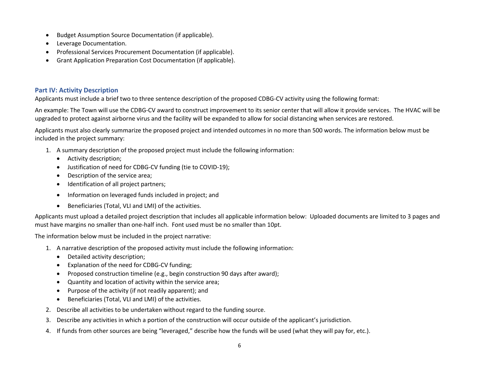- Budget Assumption Source Documentation (if applicable).
- Leverage Documentation.
- Professional Services Procurement Documentation (if applicable).
- Grant Application Preparation Cost Documentation (if applicable).

# **Part IV: Activity Description**

Applicants must include a brief two to three sentence description of the proposed CDBG-CV activity using the following format:

An example: The Town will use the CDBG-CV award to construct improvement to its senior center that will allow it provide services. The HVAC will be upgraded to protect against airborne virus and the facility will be expanded to allow for social distancing when services are restored.

Applicants must also clearly summarize the proposed project and intended outcomes in no more than 500 words. The information below must be included in the project summary:

- 1. A summary description of the proposed project must include the following information:
	- Activity description;
	- Justification of need for CDBG-CV funding (tie to COVID-19);
	- Description of the service area;
	- Identification of all project partners;
	- Information on leveraged funds included in project; and
	- Beneficiaries (Total, VLI and LMI) of the activities.

Applicants must upload a detailed project description that includes all applicable information below: Uploaded documents are limited to 3 pages and must have margins no smaller than one-half inch. Font used must be no smaller than 10pt.

The information below must be included in the project narrative:

- 1. A narrative description of the proposed activity must include the following information:
	- Detailed activity description;
	- Explanation of the need for CDBG-CV funding;
	- Proposed construction timeline (e.g., begin construction 90 days after award);
	- Quantity and location of activity within the service area;
	- Purpose of the activity (if not readily apparent); and
	- Beneficiaries (Total, VLI and LMI) of the activities.
- 2. Describe all activities to be undertaken without regard to the funding source.
- 3. Describe any activities in which a portion of the construction will occur outside of the applicant's jurisdiction.
- 4. If funds from other sources are being "leveraged," describe how the funds will be used (what they will pay for, etc.).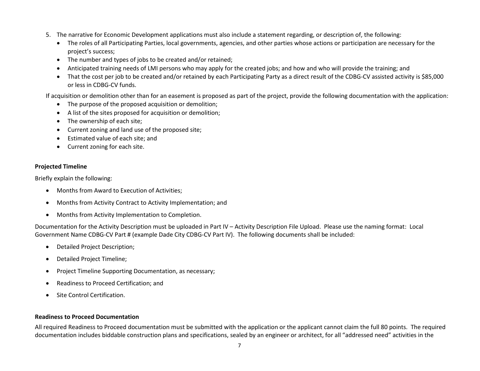- 5. The narrative for Economic Development applications must also include a statement regarding, or description of, the following:
	- The roles of all Participating Parties, local governments, agencies, and other parties whose actions or participation are necessary for the project's success;
	- The number and types of jobs to be created and/or retained;
	- Anticipated training needs of LMI persons who may apply for the created jobs; and how and who will provide the training; and
	- That the cost per job to be created and/or retained by each Participating Party as a direct result of the CDBG-CV assisted activity is \$85,000 or less in CDBG-CV funds.

If acquisition or demolition other than for an easement is proposed as part of the project, provide the following documentation with the application:

- The purpose of the proposed acquisition or demolition;
- A list of the sites proposed for acquisition or demolition;
- The ownership of each site;
- Current zoning and land use of the proposed site;
- Estimated value of each site; and
- Current zoning for each site.

# **Projected Timeline**

Briefly explain the following:

- Months from Award to Execution of Activities;
- Months from Activity Contract to Activity Implementation; and
- Months from Activity Implementation to Completion.

Documentation for the Activity Description must be uploaded in Part IV – Activity Description File Upload. Please use the naming format: Local Government Name CDBG-CV Part # (example Dade City CDBG-CV Part IV). The following documents shall be included:

- Detailed Project Description;
- Detailed Project Timeline;
- Project Timeline Supporting Documentation, as necessary;
- Readiness to Proceed Certification; and
- Site Control Certification.

# **Readiness to Proceed Documentation**

All required Readiness to Proceed documentation must be submitted with the application or the applicant cannot claim the full 80 points. The required documentation includes biddable construction plans and specifications, sealed by an engineer or architect, for all "addressed need" activities in the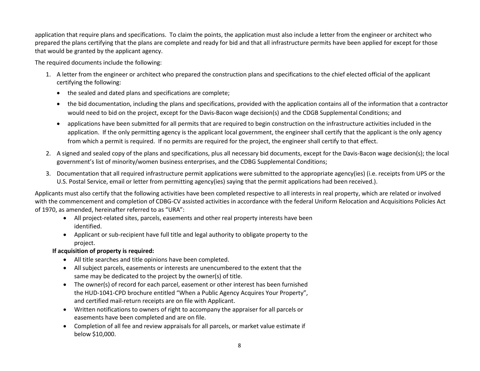application that require plans and specifications. To claim the points, the application must also include a letter from the engineer or architect who prepared the plans certifying that the plans are complete and ready for bid and that all infrastructure permits have been applied for except for those that would be granted by the applicant agency.

The required documents include the following:

- 1. A letter from the engineer or architect who prepared the construction plans and specifications to the chief elected official of the applicant certifying the following:
	- the sealed and dated plans and specifications are complete;
	- the bid documentation, including the plans and specifications, provided with the application contains all of the information that a contractor would need to bid on the project, except for the Davis-Bacon wage decision(s) and the CDGB Supplemental Conditions; and
	- applications have been submitted for all permits that are required to begin construction on the infrastructure activities included in the application. If the only permitting agency is the applicant local government, the engineer shall certify that the applicant is the only agency from which a permit is required. If no permits are required for the project, the engineer shall certify to that effect.
- 2. A signed and sealed copy of the plans and specifications, plus all necessary bid documents, except for the Davis-Bacon wage decision(s); the local government's list of minority/women business enterprises, and the CDBG Supplemental Conditions;
- 3. Documentation that all required infrastructure permit applications were submitted to the appropriate agency(ies) (i.e. receipts from UPS or the U.S. Postal Service, email or letter from permitting agency(ies) saying that the permit applications had been received.).

Applicants must also certify that the following activities have been completed respective to all interests in real property, which are related or involved with the commencement and completion of CDBG-CV assisted activities in accordance with the federal Uniform Relocation and Acquisitions Policies Act of 1970, as amended, hereinafter referred to as "URA":

- All project-related sites, parcels, easements and other real property interests have been identified.
- Applicant or sub-recipient have full title and legal authority to obligate property to the project.

# **If acquisition of property is required:**

- All title searches and title opinions have been completed.
- All subject parcels, easements or interests are unencumbered to the extent that the same may be dedicated to the project by the owner(s) of title.
- The owner(s) of record for each parcel, easement or other interest has been furnished the HUD-1041-CPD brochure entitled "When a Public Agency Acquires Your Property", and certified mail-return receipts are on file with Applicant.
- Written notifications to owners of right to accompany the appraiser for all parcels or easements have been completed and are on file.
- Completion of all fee and review appraisals for all parcels, or market value estimate if below \$10,000.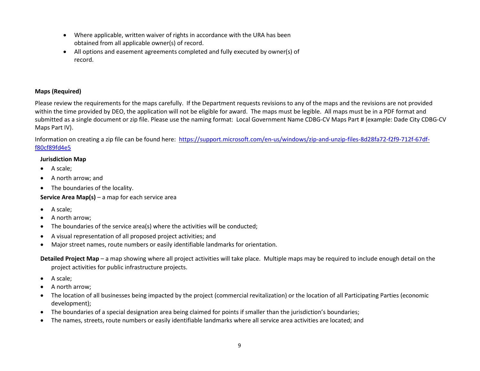- Where applicable, written waiver of rights in accordance with the URA has been obtained from all applicable owner(s) of record.
- All options and easement agreements completed and fully executed by owner(s) of record.

# **Maps (Required)**

Please review the requirements for the maps carefully. If the Department requests revisions to any of the maps and the revisions are not provided within the time provided by DEO, the application will not be eligible for award. The maps must be legible. All maps must be in a PDF format and submitted as a single document or zip file. Please use the naming format: Local Government Name CDBG-CV Maps Part # (example: Dade City CDBG-CV Maps Part IV).

Information on creating a zip file can be found here: [https://support.microsoft.com/en-us/windows/zip-and-unzip-files-8d28fa72-f2f9-712f-67df](https://support.microsoft.com/en-us/windows/zip-and-unzip-files-8d28fa72-f2f9-712f-67df-f80cf89fd4e5)[f80cf89fd4e5](https://support.microsoft.com/en-us/windows/zip-and-unzip-files-8d28fa72-f2f9-712f-67df-f80cf89fd4e5)

#### **Jurisdiction Map**

- A scale;
- A north arrow; and
- The boundaries of the locality.

# **Service Area Map(s)** – a map for each service area

- A scale;
- A north arrow;
- The boundaries of the service area(s) where the activities will be conducted;
- A visual representation of all proposed project activities; and
- Major street names, route numbers or easily identifiable landmarks for orientation.

**Detailed Project Map** – a map showing where all project activities will take place. Multiple maps may be required to include enough detail on the project activities for public infrastructure projects.

- A scale;
- A north arrow;
- The location of all businesses being impacted by the project (commercial revitalization) or the location of all Participating Parties (economic development);
- The boundaries of a special designation area being claimed for points if smaller than the jurisdiction's boundaries;
- The names, streets, route numbers or easily identifiable landmarks where all service area activities are located; and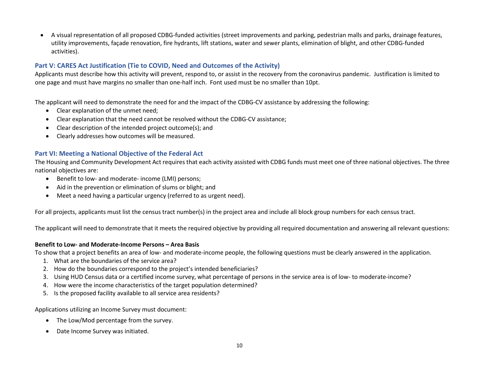• A visual representation of all proposed CDBG-funded activities (street improvements and parking, pedestrian malls and parks, drainage features, utility improvements, façade renovation, fire hydrants, lift stations, water and sewer plants, elimination of blight, and other CDBG-funded activities).

# **Part V: CARES Act Justification (Tie to COVID, Need and Outcomes of the Activity)**

Applicants must describe how this activity will prevent, respond to, or assist in the recovery from the coronavirus pandemic. Justification is limited to one page and must have margins no smaller than one-half inch. Font used must be no smaller than 10pt.

The applicant will need to demonstrate the need for and the impact of the CDBG-CV assistance by addressing the following:

- Clear explanation of the unmet need;
- Clear explanation that the need cannot be resolved without the CDBG-CV assistance;
- Clear description of the intended project outcome(s); and
- Clearly addresses how outcomes will be measured.

# **Part VI: Meeting a National Objective of the Federal Act**

The Housing and Community Development Act requires that each activity assisted with CDBG funds must meet one of three national objectives. The three national objectives are:

- Benefit to low- and moderate- income (LMI) persons;
- Aid in the prevention or elimination of slums or blight; and
- Meet a need having a particular urgency (referred to as urgent need).

For all projects, applicants must list the census tract number(s) in the project area and include all block group numbers for each census tract.

The applicant will need to demonstrate that it meets the required objective by providing all required documentation and answering all relevant questions:

#### **Benefit to Low- and Moderate-Income Persons – Area Basis**

To show that a project benefits an area of low- and moderate-income people, the following questions must be clearly answered in the application.

- 1. What are the boundaries of the service area?
- 2. How do the boundaries correspond to the project's intended beneficiaries?
- 3. Using HUD Census data or a certified income survey, what percentage of persons in the service area is of low- to moderate-income?
- 4. How were the income characteristics of the target population determined?
- 5. Is the proposed facility available to all service area residents?

Applications utilizing an Income Survey must document:

- The Low/Mod percentage from the survey.
- Date Income Survey was initiated.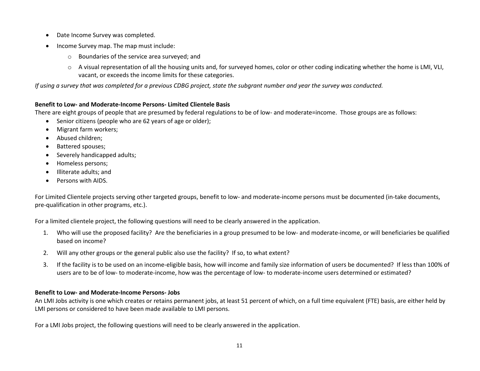- Date Income Survey was completed.
- Income Survey map. The map must include:
	- o Boundaries of the service area surveyed; and
	- $\circ$  A visual representation of all the housing units and, for surveyed homes, color or other coding indicating whether the home is LMI, VLI, vacant, or exceeds the income limits for these categories.

*If using a survey that was completed for a previous CDBG project, state the subgrant number and year the survey was conducted.*

#### **Benefit to Low- and Moderate-Income Persons- Limited Clientele Basis**

There are eight groups of people that are presumed by federal regulations to be of low- and moderate=income. Those groups are as follows:

- Senior citizens (people who are 62 years of age or older);
- Migrant farm workers;
- Abused children;
- Battered spouses;
- Severely handicapped adults;
- Homeless persons;
- Illiterate adults; and
- Persons with AIDS.

For Limited Clientele projects serving other targeted groups, benefit to low- and moderate-income persons must be documented (in-take documents, pre-qualification in other programs, etc.).

For a limited clientele project, the following questions will need to be clearly answered in the application.

- 1. Who will use the proposed facility? Are the beneficiaries in a group presumed to be low- and moderate-income, or will beneficiaries be qualified based on income?
- 2. Will any other groups or the general public also use the facility? If so, to what extent?
- 3. If the facility is to be used on an income-eligible basis, how will income and family size information of users be documented? If less than 100% of users are to be of low- to moderate-income, how was the percentage of low- to moderate-income users determined or estimated?

# **Benefit to Low- and Moderate-Income Persons- Jobs**

An LMI Jobs activity is one which creates or retains permanent jobs, at least 51 percent of which, on a full time equivalent (FTE) basis, are either held by LMI persons or considered to have been made available to LMI persons.

For a LMI Jobs project, the following questions will need to be clearly answered in the application.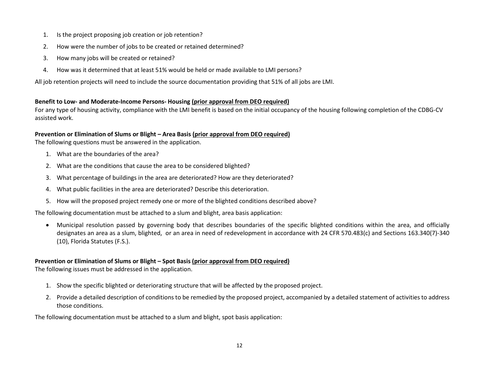- 1. Is the project proposing job creation or job retention?
- 2. How were the number of jobs to be created or retained determined?
- 3. How many jobs will be created or retained?
- 4. How was it determined that at least 51% would be held or made available to LMI persons?

All job retention projects will need to include the source documentation providing that 51% of all jobs are LMI.

#### **Benefit to Low- and Moderate-Income Persons- Housing (prior approval from DEO required)**

For any type of housing activity, compliance with the LMI benefit is based on the initial occupancy of the housing following completion of the CDBG-CV assisted work.

# **Prevention or Elimination of Slums or Blight – Area Basis (prior approval from DEO required)**

The following questions must be answered in the application.

- 1. What are the boundaries of the area?
- 2. What are the conditions that cause the area to be considered blighted?
- 3. What percentage of buildings in the area are deteriorated? How are they deteriorated?
- 4. What public facilities in the area are deteriorated? Describe this deterioration.
- 5. How will the proposed project remedy one or more of the blighted conditions described above?

The following documentation must be attached to a slum and blight, area basis application:

• Municipal resolution passed by governing body that describes boundaries of the specific blighted conditions within the area, and officially designates an area as a slum, blighted, or an area in need of redevelopment in accordance with 24 CFR 570.483(c) and Sections 163.340(7)-340 (10), Florida Statutes (F.S.).

# **Prevention or Elimination of Slums or Blight – Spot Basis (prior approval from DEO required)**

The following issues must be addressed in the application.

- 1. Show the specific blighted or deteriorating structure that will be affected by the proposed project.
- 2. Provide a detailed description of conditions to be remedied by the proposed project, accompanied by a detailed statement of activities to address those conditions.

The following documentation must be attached to a slum and blight, spot basis application: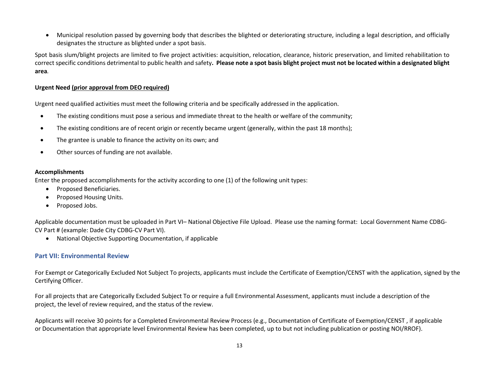• Municipal resolution passed by governing body that describes the blighted or deteriorating structure, including a legal description, and officially designates the structure as blighted under a spot basis.

Spot basis slum/blight projects are limited to five project activities: acquisition, relocation, clearance, historic preservation, and limited rehabilitation to correct specific conditions detrimental to public health and safety**. Please note a spot basis blight project must not be located within a designated blight area***.*

#### **Urgent Need (prior approval from DEO required)**

Urgent need qualified activities must meet the following criteria and be specifically addressed in the application.

- The existing conditions must pose a serious and immediate threat to the health or welfare of the community;
- The existing conditions are of recent origin or recently became urgent (generally, within the past 18 months);
- The grantee is unable to finance the activity on its own; and
- Other sources of funding are not available.

#### **Accomplishments**

Enter the proposed accomplishments for the activity according to one (1) of the following unit types:

- Proposed Beneficiaries.
- Proposed Housing Units.
- Proposed Jobs.

Applicable documentation must be uploaded in Part VI– National Objective File Upload. Please use the naming format: Local Government Name CDBG-CV Part # (example: Dade City CDBG-CV Part VI).

• National Objective Supporting Documentation, if applicable

# **Part VII: Environmental Review**

For Exempt or Categorically Excluded Not Subject To projects, applicants must include the Certificate of Exemption/CENST with the application, signed by the Certifying Officer.

For all projects that are Categorically Excluded Subject To or require a full Environmental Assessment, applicants must include a description of the project, the level of review required, and the status of the review.

Applicants will receive 30 points for a Completed Environmental Review Process (e.g., Documentation of Certificate of Exemption/CENST , if applicable or Documentation that appropriate level Environmental Review has been completed, up to but not including publication or posting NOI/RROF).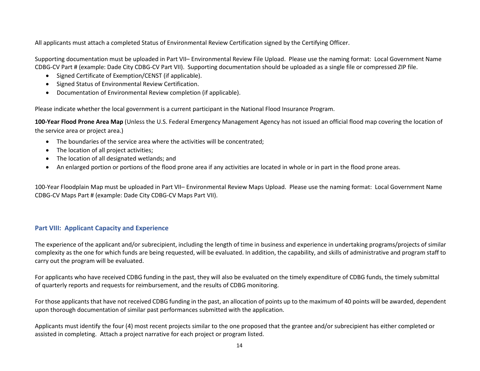All applicants must attach a completed Status of Environmental Review Certification signed by the [Certifying Officer.](https://floridajobs.org/docs/default-source/2015-community-development/community-revitalization/cdbg/environmental/termsdefinitions.pdf?sfvrsn=9c2066b0_2)

Supporting documentation must be uploaded in Part VII– Environmental Review File Upload. Please use the naming format: Local Government Name CDBG-CV Part # (example: Dade City CDBG-CV Part VII). Supporting documentation should be uploaded as a single file or compressed ZIP file.

- Signed Certificate of Exemption/CENST (if applicable).
- Signed Status of Environmental Review Certification.
- Documentation of Environmental Review completion (if applicable).

Please indicate whether the local government is a current participant in the National Flood Insurance Program.

**100-Year Flood Prone Area Map** (Unless the U.S. Federal Emergency Management Agency has not issued an official flood map covering the location of the service area or project area.)

- The boundaries of the service area where the activities will be concentrated;
- The location of all project activities;
- The location of all designated wetlands; and
- An enlarged portion or portions of the flood prone area if any activities are located in whole or in part in the flood prone areas.

100-Year Floodplain Map must be uploaded in Part VII– Environmental Review Maps Upload. Please use the naming format: Local Government Name CDBG-CV Maps Part # (example: Dade City CDBG-CV Maps Part VII).

# **Part VIII: Applicant Capacity and Experience**

The experience of the applicant and/or subrecipient, including the length of time in business and experience in undertaking programs/projects of similar complexity as the one for which funds are being requested, will be evaluated. In addition, the capability, and skills of administrative and program staff to carry out the program will be evaluated.

For applicants who have received CDBG funding in the past, they will also be evaluated on the timely expenditure of CDBG funds, the timely submittal of quarterly reports and requests for reimbursement, and the results of CDBG monitoring.

For those applicants that have not received CDBG funding in the past, an allocation of points up to the maximum of 40 points will be awarded, dependent upon thorough documentation of similar past performances submitted with the application.

Applicants must identify the four (4) most recent projects similar to the one proposed that the grantee and/or subrecipient has either completed or assisted in completing. Attach a project narrative for each project or program listed.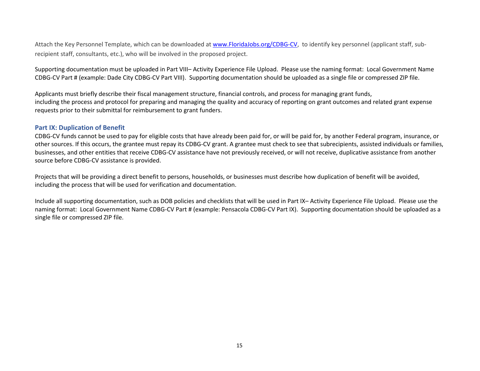Attach the Key Personnel Template, which can be downloaded at [www.FloridaJobs.org/CDBG-CV,](http://www.floridajobs.org/CDBG-CV) to identify key personnel (applicant staff, subrecipient staff, consultants, etc.), who will be involved in the proposed project.

Supporting documentation must be uploaded in Part VIII– Activity Experience File Upload. Please use the naming format: Local Government Name CDBG-CV Part # (example: Dade City CDBG-CV Part VIII). Supporting documentation should be uploaded as a single file or compressed ZIP file.

Applicants must briefly describe their fiscal management structure, financial controls, and process for managing grant funds, including the process and protocol for preparing and managing the quality and accuracy of reporting on grant outcomes and related grant expense requests prior to their submittal for reimbursement to grant funders.

#### **Part IX: Duplication of Benefit**

CDBG-CV funds cannot be used to pay for eligible costs that have already been paid for, or will be paid for, by another Federal program, insurance, or other sources. If this occurs, the grantee must repay its CDBG-CV grant. A grantee must check to see that subrecipients, assisted individuals or families, businesses, and other entities that receive CDBG-CV assistance have not previously received, or will not receive, duplicative assistance from another source before CDBG-CV assistance is provided.

Projects that will be providing a direct benefit to persons, households, or businesses must describe how duplication of benefit will be avoided, including the process that will be used for verification and documentation.

Include all supporting documentation, such as DOB policies and checklists that will be used in Part IX– Activity Experience File Upload. Please use the naming format: Local Government Name CDBG-CV Part # (example: Pensacola CDBG-CV Part IX). Supporting documentation should be uploaded as a single file or compressed ZIP file.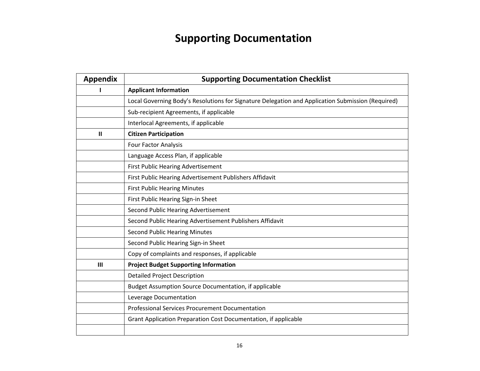# **Supporting Documentation**

| <b>Appendix</b> | <b>Supporting Documentation Checklist</b>                                                         |
|-----------------|---------------------------------------------------------------------------------------------------|
|                 | <b>Applicant Information</b>                                                                      |
|                 | Local Governing Body's Resolutions for Signature Delegation and Application Submission (Required) |
|                 | Sub-recipient Agreements, if applicable                                                           |
|                 | Interlocal Agreements, if applicable                                                              |
| Ш               | <b>Citizen Participation</b>                                                                      |
|                 | <b>Four Factor Analysis</b>                                                                       |
|                 | Language Access Plan, if applicable                                                               |
|                 | First Public Hearing Advertisement                                                                |
|                 | First Public Hearing Advertisement Publishers Affidavit                                           |
|                 | <b>First Public Hearing Minutes</b>                                                               |
|                 | First Public Hearing Sign-in Sheet                                                                |
|                 | Second Public Hearing Advertisement                                                               |
|                 | Second Public Hearing Advertisement Publishers Affidavit                                          |
|                 | <b>Second Public Hearing Minutes</b>                                                              |
|                 | Second Public Hearing Sign-in Sheet                                                               |
|                 | Copy of complaints and responses, if applicable                                                   |
| III             | <b>Project Budget Supporting Information</b>                                                      |
|                 | <b>Detailed Project Description</b>                                                               |
|                 | Budget Assumption Source Documentation, if applicable                                             |
|                 | Leverage Documentation                                                                            |
|                 | <b>Professional Services Procurement Documentation</b>                                            |
|                 | Grant Application Preparation Cost Documentation, if applicable                                   |
|                 |                                                                                                   |